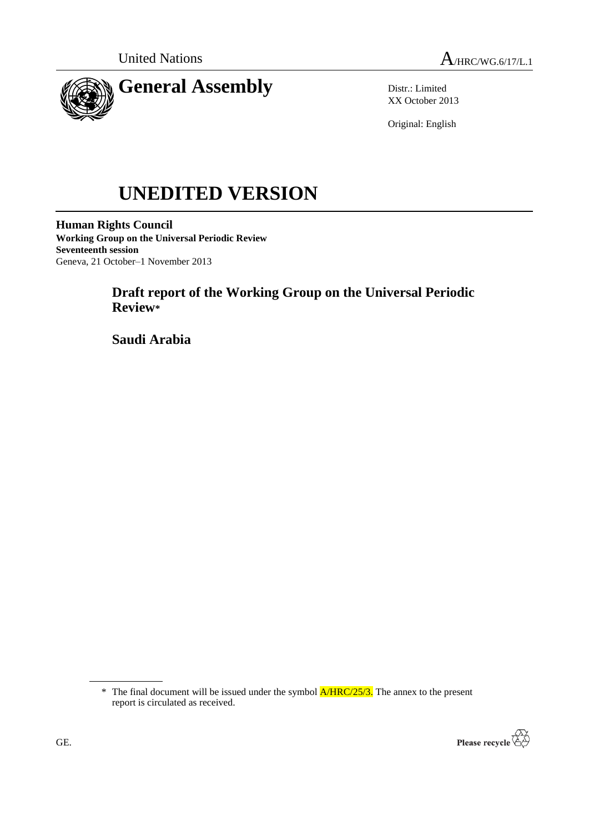



Distr.: Limited XX October 2013

Original: English

# **UNEDITED VERSION**

**Human Rights Council Working Group on the Universal Periodic Review Seventeenth session** Geneva, 21 October–1 November 2013

# **Draft report of the Working Group on the Universal Periodic Review\***

**Saudi Arabia**

 $*$  The final document will be issued under the symbol  $A/HRC/25/3$ . The annex to the present report is circulated as received.

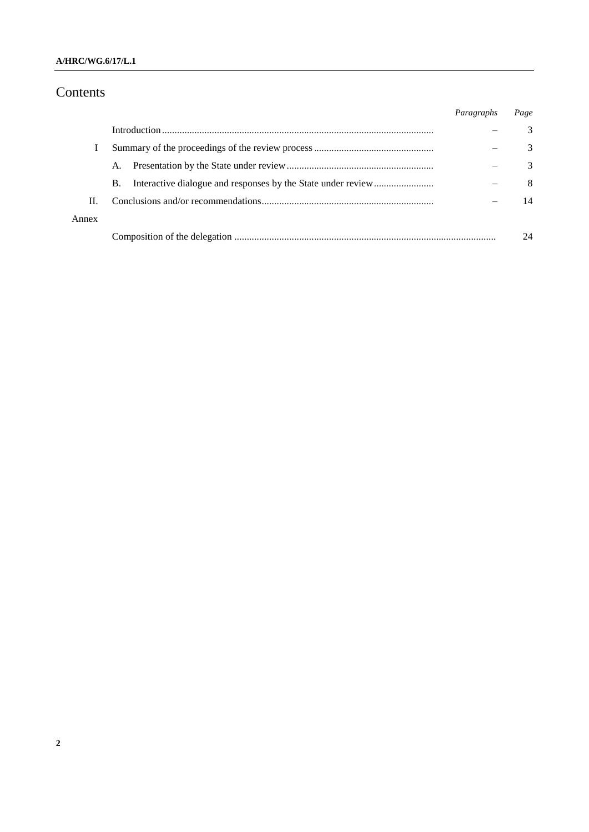## **A/HRC/WG.6/17/L.1**

# Contents

|       |    | Paragraphs | Page          |
|-------|----|------------|---------------|
|       |    |            | $\mathcal{R}$ |
|       |    |            | $\mathcal{R}$ |
|       | A. |            | $\mathcal{R}$ |
|       | В. |            | 8             |
| Н.    |    |            | 14            |
| Annex |    |            |               |
|       |    |            | 24            |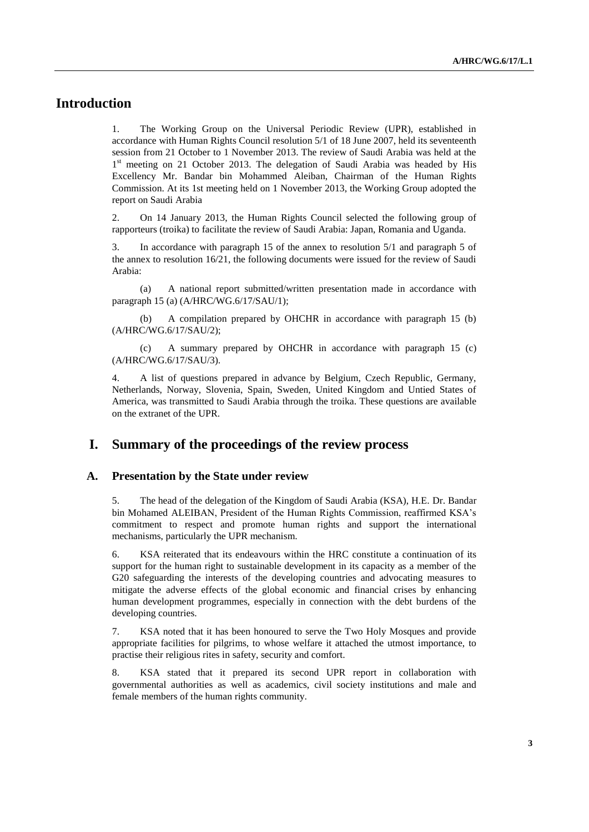# **Introduction**

1. The Working Group on the Universal Periodic Review (UPR), established in accordance with Human Rights Council resolution 5/1 of 18 June 2007, held its seventeenth session from 21 October to 1 November 2013. The review of Saudi Arabia was held at the 1<sup>st</sup> meeting on 21 October 2013. The delegation of Saudi Arabia was headed by His Excellency Mr. Bandar bin Mohammed Aleiban, Chairman of the Human Rights Commission. At its 1st meeting held on 1 November 2013, the Working Group adopted the report on Saudi Arabia

2. On 14 January 2013, the Human Rights Council selected the following group of rapporteurs (troika) to facilitate the review of Saudi Arabia: Japan, Romania and Uganda.

3. In accordance with paragraph 15 of the annex to resolution 5/1 and paragraph 5 of the annex to resolution 16/21, the following documents were issued for the review of Saudi Arabia:

(a) A national report submitted/written presentation made in accordance with paragraph 15 (a) (A/HRC/WG.6/17/SAU/1);

(b) A compilation prepared by OHCHR in accordance with paragraph 15 (b) (A/HRC/WG.6/17/SAU/2);

(c) A summary prepared by OHCHR in accordance with paragraph 15 (c) (A/HRC/WG.6/17/SAU/3).

4. A list of questions prepared in advance by Belgium, Czech Republic, Germany, Netherlands, Norway, Slovenia, Spain, Sweden, United Kingdom and Untied States of America, was transmitted to Saudi Arabia through the troika. These questions are available on the extranet of the UPR.

## **I. Summary of the proceedings of the review process**

#### **A. Presentation by the State under review**

5. The head of the delegation of the Kingdom of Saudi Arabia (KSA), H.E. Dr. Bandar bin Mohamed ALEIBAN, President of the Human Rights Commission, reaffirmed KSA's commitment to respect and promote human rights and support the international mechanisms, particularly the UPR mechanism.

6. KSA reiterated that its endeavours within the HRC constitute a continuation of its support for the human right to sustainable development in its capacity as a member of the G20 safeguarding the interests of the developing countries and advocating measures to mitigate the adverse effects of the global economic and financial crises by enhancing human development programmes, especially in connection with the debt burdens of the developing countries.

7. KSA noted that it has been honoured to serve the Two Holy Mosques and provide appropriate facilities for pilgrims, to whose welfare it attached the utmost importance, to practise their religious rites in safety, security and comfort.

8. KSA stated that it prepared its second UPR report in collaboration with governmental authorities as well as academics, civil society institutions and male and female members of the human rights community.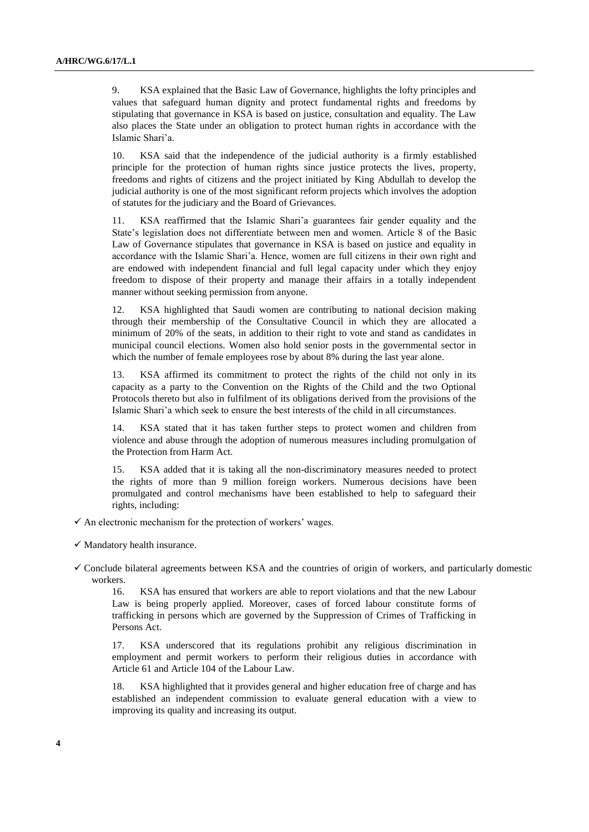9. KSA explained that the Basic Law of Governance, highlights the lofty principles and values that safeguard human dignity and protect fundamental rights and freedoms by stipulating that governance in KSA is based on justice, consultation and equality. The Law also places the State under an obligation to protect human rights in accordance with the Islamic Shari'a.

KSA said that the independence of the judicial authority is a firmly established principle for the protection of human rights since justice protects the lives, property, freedoms and rights of citizens and the project initiated by King Abdullah to develop the judicial authority is one of the most significant reform projects which involves the adoption of statutes for the judiciary and the Board of Grievances.

11. KSA reaffirmed that the Islamic Shari'a guarantees fair gender equality and the State's legislation does not differentiate between men and women. Article 8 of the Basic Law of Governance stipulates that governance in KSA is based on justice and equality in accordance with the Islamic Shari'a. Hence, women are full citizens in their own right and are endowed with independent financial and full legal capacity under which they enjoy freedom to dispose of their property and manage their affairs in a totally independent manner without seeking permission from anyone.

12. KSA highlighted that Saudi women are contributing to national decision making through their membership of the Consultative Council in which they are allocated a minimum of 20% of the seats, in addition to their right to vote and stand as candidates in municipal council elections. Women also hold senior posts in the governmental sector in which the number of female employees rose by about 8% during the last year alone.

KSA affirmed its commitment to protect the rights of the child not only in its capacity as a party to the Convention on the Rights of the Child and the two Optional Protocols thereto but also in fulfilment of its obligations derived from the provisions of the Islamic Shari'a which seek to ensure the best interests of the child in all circumstances.

14. KSA stated that it has taken further steps to protect women and children from violence and abuse through the adoption of numerous measures including promulgation of the Protection from Harm Act.

15. KSA added that it is taking all the non-discriminatory measures needed to protect the rights of more than 9 million foreign workers. Numerous decisions have been promulgated and control mechanisms have been established to help to safeguard their rights, including:

- $\checkmark$  An electronic mechanism for the protection of workers' wages.
- $\checkmark$  Mandatory health insurance.
- $\checkmark$  Conclude bilateral agreements between KSA and the countries of origin of workers, and particularly domestic workers.

16. KSA has ensured that workers are able to report violations and that the new Labour Law is being properly applied. Moreover, cases of forced labour constitute forms of trafficking in persons which are governed by the Suppression of Crimes of Trafficking in Persons Act.

17. KSA underscored that its regulations prohibit any religious discrimination in employment and permit workers to perform their religious duties in accordance with Article 61 and Article 104 of the Labour Law.

18. KSA highlighted that it provides general and higher education free of charge and has established an independent commission to evaluate general education with a view to improving its quality and increasing its output.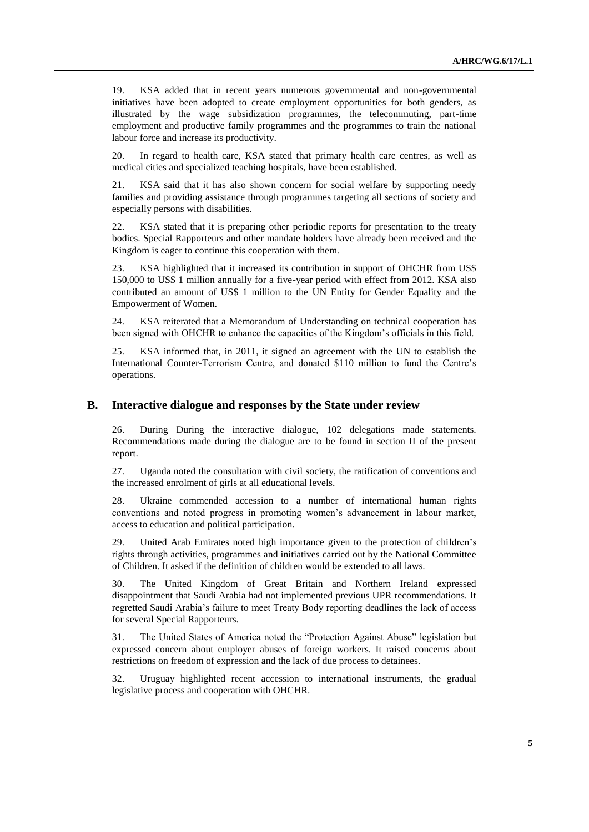19. KSA added that in recent years numerous governmental and non-governmental initiatives have been adopted to create employment opportunities for both genders, as illustrated by the wage subsidization programmes, the telecommuting, part-time employment and productive family programmes and the programmes to train the national labour force and increase its productivity.

20. In regard to health care, KSA stated that primary health care centres, as well as medical cities and specialized teaching hospitals, have been established.

21. KSA said that it has also shown concern for social welfare by supporting needy families and providing assistance through programmes targeting all sections of society and especially persons with disabilities.

22. KSA stated that it is preparing other periodic reports for presentation to the treaty bodies. Special Rapporteurs and other mandate holders have already been received and the Kingdom is eager to continue this cooperation with them.

23. KSA highlighted that it increased its contribution in support of OHCHR from US\$ 150,000 to US\$ 1 million annually for a five-year period with effect from 2012. KSA also contributed an amount of US\$ 1 million to the UN Entity for Gender Equality and the Empowerment of Women.

24. KSA reiterated that a Memorandum of Understanding on technical cooperation has been signed with OHCHR to enhance the capacities of the Kingdom's officials in this field.

25. KSA informed that, in 2011, it signed an agreement with the UN to establish the International Counter-Terrorism Centre, and donated \$110 million to fund the Centre's operations.

#### **B. Interactive dialogue and responses by the State under review**

26. During During the interactive dialogue, 102 delegations made statements. Recommendations made during the dialogue are to be found in section II of the present report.

27. Uganda noted the consultation with civil society, the ratification of conventions and the increased enrolment of girls at all educational levels.

28. Ukraine commended accession to a number of international human rights conventions and noted progress in promoting women's advancement in labour market, access to education and political participation.

29. United Arab Emirates noted high importance given to the protection of children's rights through activities, programmes and initiatives carried out by the National Committee of Children. It asked if the definition of children would be extended to all laws.

30. The United Kingdom of Great Britain and Northern Ireland expressed disappointment that Saudi Arabia had not implemented previous UPR recommendations. It regretted Saudi Arabia's failure to meet Treaty Body reporting deadlines the lack of access for several Special Rapporteurs.

31. The United States of America noted the "Protection Against Abuse" legislation but expressed concern about employer abuses of foreign workers. It raised concerns about restrictions on freedom of expression and the lack of due process to detainees.

32. Uruguay highlighted recent accession to international instruments, the gradual legislative process and cooperation with OHCHR.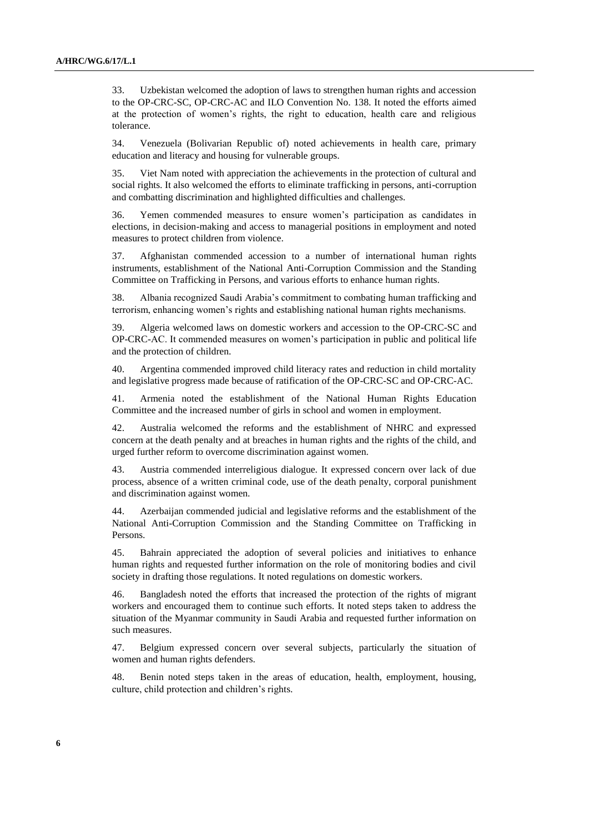33. Uzbekistan welcomed the adoption of laws to strengthen human rights and accession to the OP-CRC-SC, OP-CRC-AC and ILO Convention No. 138. It noted the efforts aimed at the protection of women's rights, the right to education, health care and religious tolerance.

34. Venezuela (Bolivarian Republic of) noted achievements in health care, primary education and literacy and housing for vulnerable groups.

35. Viet Nam noted with appreciation the achievements in the protection of cultural and social rights. It also welcomed the efforts to eliminate trafficking in persons, anti-corruption and combatting discrimination and highlighted difficulties and challenges.

36. Yemen commended measures to ensure women's participation as candidates in elections, in decision-making and access to managerial positions in employment and noted measures to protect children from violence.

37. Afghanistan commended accession to a number of international human rights instruments, establishment of the National Anti-Corruption Commission and the Standing Committee on Trafficking in Persons, and various efforts to enhance human rights.

38. Albania recognized Saudi Arabia's commitment to combating human trafficking and terrorism, enhancing women's rights and establishing national human rights mechanisms.

39. Algeria welcomed laws on domestic workers and accession to the OP-CRC-SC and OP-CRC-AC. It commended measures on women's participation in public and political life and the protection of children.

40. Argentina commended improved child literacy rates and reduction in child mortality and legislative progress made because of ratification of the OP-CRC-SC and OP-CRC-AC.

41. Armenia noted the establishment of the National Human Rights Education Committee and the increased number of girls in school and women in employment.

42. Australia welcomed the reforms and the establishment of NHRC and expressed concern at the death penalty and at breaches in human rights and the rights of the child, and urged further reform to overcome discrimination against women.

43. Austria commended interreligious dialogue. It expressed concern over lack of due process, absence of a written criminal code, use of the death penalty, corporal punishment and discrimination against women.

44. Azerbaijan commended judicial and legislative reforms and the establishment of the National Anti-Corruption Commission and the Standing Committee on Trafficking in Persons.

45. Bahrain appreciated the adoption of several policies and initiatives to enhance human rights and requested further information on the role of monitoring bodies and civil society in drafting those regulations. It noted regulations on domestic workers.

46. Bangladesh noted the efforts that increased the protection of the rights of migrant workers and encouraged them to continue such efforts. It noted steps taken to address the situation of the Myanmar community in Saudi Arabia and requested further information on such measures.

47. Belgium expressed concern over several subjects, particularly the situation of women and human rights defenders.

48. Benin noted steps taken in the areas of education, health, employment, housing, culture, child protection and children's rights.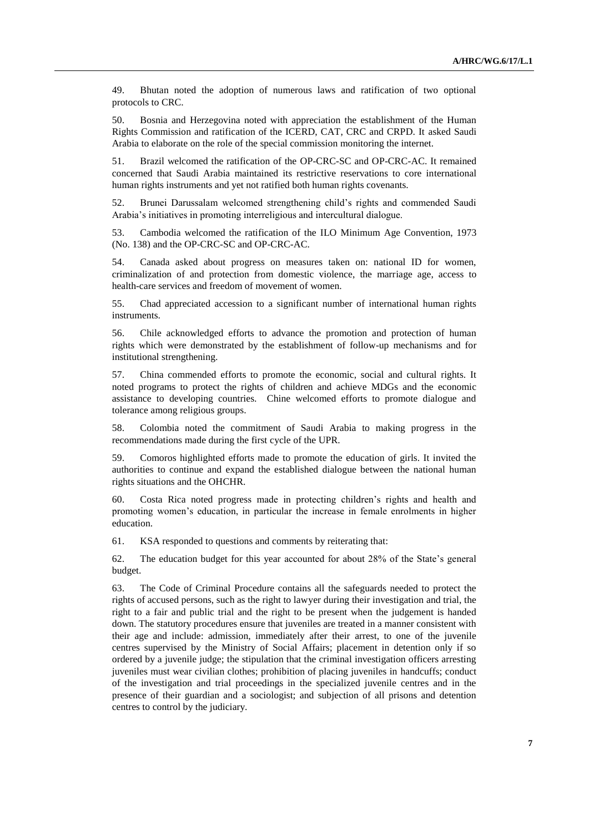49. Bhutan noted the adoption of numerous laws and ratification of two optional protocols to CRC.

50. Bosnia and Herzegovina noted with appreciation the establishment of the Human Rights Commission and ratification of the ICERD, CAT, CRC and CRPD. It asked Saudi Arabia to elaborate on the role of the special commission monitoring the internet.

51. Brazil welcomed the ratification of the OP-CRC-SC and OP-CRC-AC. It remained concerned that Saudi Arabia maintained its restrictive reservations to core international human rights instruments and yet not ratified both human rights covenants.

52. Brunei Darussalam welcomed strengthening child's rights and commended Saudi Arabia's initiatives in promoting interreligious and intercultural dialogue.

53. Cambodia welcomed the ratification of the ILO Minimum Age Convention, 1973 (No. 138) and the OP-CRC-SC and OP-CRC-AC.

54. Canada asked about progress on measures taken on: national ID for women, criminalization of and protection from domestic violence, the marriage age, access to health-care services and freedom of movement of women.

55. Chad appreciated accession to a significant number of international human rights instruments.

56. Chile acknowledged efforts to advance the promotion and protection of human rights which were demonstrated by the establishment of follow-up mechanisms and for institutional strengthening.

57. China commended efforts to promote the economic, social and cultural rights. It noted programs to protect the rights of children and achieve MDGs and the economic assistance to developing countries. Chine welcomed efforts to promote dialogue and tolerance among religious groups.

58. Colombia noted the commitment of Saudi Arabia to making progress in the recommendations made during the first cycle of the UPR.

59. Comoros highlighted efforts made to promote the education of girls. It invited the authorities to continue and expand the established dialogue between the national human rights situations and the OHCHR.

60. Costa Rica noted progress made in protecting children's rights and health and promoting women's education, in particular the increase in female enrolments in higher education.

61. KSA responded to questions and comments by reiterating that:

62. The education budget for this year accounted for about 28% of the State's general budget.

63. The Code of Criminal Procedure contains all the safeguards needed to protect the rights of accused persons, such as the right to lawyer during their investigation and trial, the right to a fair and public trial and the right to be present when the judgement is handed down. The statutory procedures ensure that juveniles are treated in a manner consistent with their age and include: admission, immediately after their arrest, to one of the juvenile centres supervised by the Ministry of Social Affairs; placement in detention only if so ordered by a juvenile judge; the stipulation that the criminal investigation officers arresting juveniles must wear civilian clothes; prohibition of placing juveniles in handcuffs; conduct of the investigation and trial proceedings in the specialized juvenile centres and in the presence of their guardian and a sociologist; and subjection of all prisons and detention centres to control by the judiciary.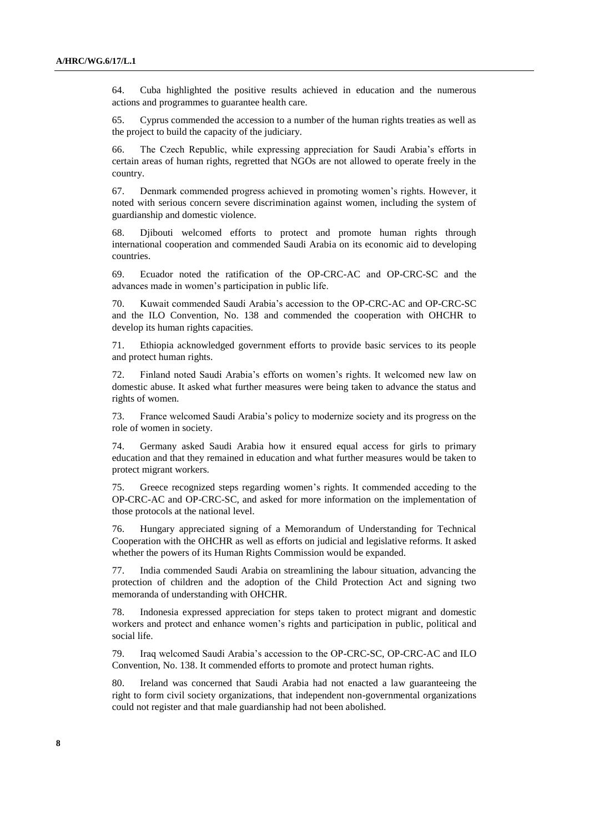64. Cuba highlighted the positive results achieved in education and the numerous actions and programmes to guarantee health care.

65. Cyprus commended the accession to a number of the human rights treaties as well as the project to build the capacity of the judiciary.

66. The Czech Republic, while expressing appreciation for Saudi Arabia's efforts in certain areas of human rights, regretted that NGOs are not allowed to operate freely in the country.

67. Denmark commended progress achieved in promoting women's rights. However, it noted with serious concern severe discrimination against women, including the system of guardianship and domestic violence.

68. Djibouti welcomed efforts to protect and promote human rights through international cooperation and commended Saudi Arabia on its economic aid to developing countries.

69. Ecuador noted the ratification of the OP-CRC-AC and OP-CRC-SC and the advances made in women's participation in public life.

70. Kuwait commended Saudi Arabia's accession to the OP-CRC-AC and OP-CRC-SC and the ILO Convention, No. 138 and commended the cooperation with OHCHR to develop its human rights capacities.

71. Ethiopia acknowledged government efforts to provide basic services to its people and protect human rights.

72. Finland noted Saudi Arabia's efforts on women's rights. It welcomed new law on domestic abuse. It asked what further measures were being taken to advance the status and rights of women.

73. France welcomed Saudi Arabia's policy to modernize society and its progress on the role of women in society.

74. Germany asked Saudi Arabia how it ensured equal access for girls to primary education and that they remained in education and what further measures would be taken to protect migrant workers.

75. Greece recognized steps regarding women's rights. It commended acceding to the OP-CRC-AC and OP-CRC-SC, and asked for more information on the implementation of those protocols at the national level.

76. Hungary appreciated signing of a Memorandum of Understanding for Technical Cooperation with the OHCHR as well as efforts on judicial and legislative reforms. It asked whether the powers of its Human Rights Commission would be expanded.

77. India commended Saudi Arabia on streamlining the labour situation, advancing the protection of children and the adoption of the Child Protection Act and signing two memoranda of understanding with OHCHR.

78. Indonesia expressed appreciation for steps taken to protect migrant and domestic workers and protect and enhance women's rights and participation in public, political and social life.

79. Iraq welcomed Saudi Arabia's accession to the OP-CRC-SC, OP-CRC-AC and ILO Convention, No. 138. It commended efforts to promote and protect human rights.

80. Ireland was concerned that Saudi Arabia had not enacted a law guaranteeing the right to form civil society organizations, that independent non-governmental organizations could not register and that male guardianship had not been abolished.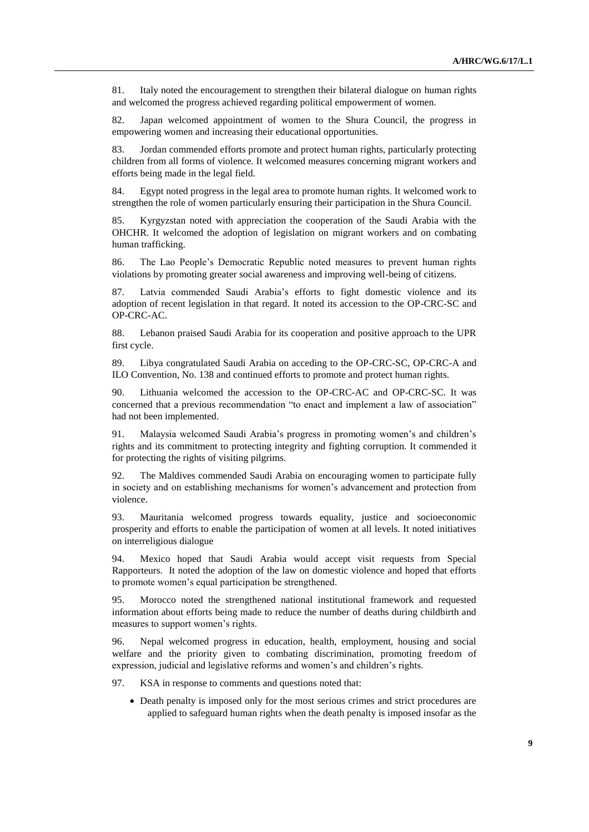81. Italy noted the encouragement to strengthen their bilateral dialogue on human rights and welcomed the progress achieved regarding political empowerment of women.

82. Japan welcomed appointment of women to the Shura Council, the progress in empowering women and increasing their educational opportunities.

83. Jordan commended efforts promote and protect human rights, particularly protecting children from all forms of violence. It welcomed measures concerning migrant workers and efforts being made in the legal field.

84. Egypt noted progress in the legal area to promote human rights. It welcomed work to strengthen the role of women particularly ensuring their participation in the Shura Council.

85. Kyrgyzstan noted with appreciation the cooperation of the Saudi Arabia with the OHCHR. It welcomed the adoption of legislation on migrant workers and on combating human trafficking.

86. The Lao People's Democratic Republic noted measures to prevent human rights violations by promoting greater social awareness and improving well-being of citizens.

87. Latvia commended Saudi Arabia's efforts to fight domestic violence and its adoption of recent legislation in that regard. It noted its accession to the OP-CRC-SC and OP-CRC-AC.

88. Lebanon praised Saudi Arabia for its cooperation and positive approach to the UPR first cycle.

89. Libya congratulated Saudi Arabia on acceding to the OP-CRC-SC, OP-CRC-A and ILO Convention, No. 138 and continued efforts to promote and protect human rights.

90. Lithuania welcomed the accession to the OP-CRC-AC and OP-CRC-SC. It was concerned that a previous recommendation "to enact and implement a law of association" had not been implemented.

91. Malaysia welcomed Saudi Arabia's progress in promoting women's and children's rights and its commitment to protecting integrity and fighting corruption. It commended it for protecting the rights of visiting pilgrims.

92. The Maldives commended Saudi Arabia on encouraging women to participate fully in society and on establishing mechanisms for women's advancement and protection from violence.

93. Mauritania welcomed progress towards equality, justice and socioeconomic prosperity and efforts to enable the participation of women at all levels. It noted initiatives on interreligious dialogue

94. Mexico hoped that Saudi Arabia would accept visit requests from Special Rapporteurs. It noted the adoption of the law on domestic violence and hoped that efforts to promote women's equal participation be strengthened.

95. Morocco noted the strengthened national institutional framework and requested information about efforts being made to reduce the number of deaths during childbirth and measures to support women's rights.

96. Nepal welcomed progress in education, health, employment, housing and social welfare and the priority given to combating discrimination, promoting freedom of expression, judicial and legislative reforms and women's and children's rights.

97. KSA in response to comments and questions noted that:

 Death penalty is imposed only for the most serious crimes and strict procedures are applied to safeguard human rights when the death penalty is imposed insofar as the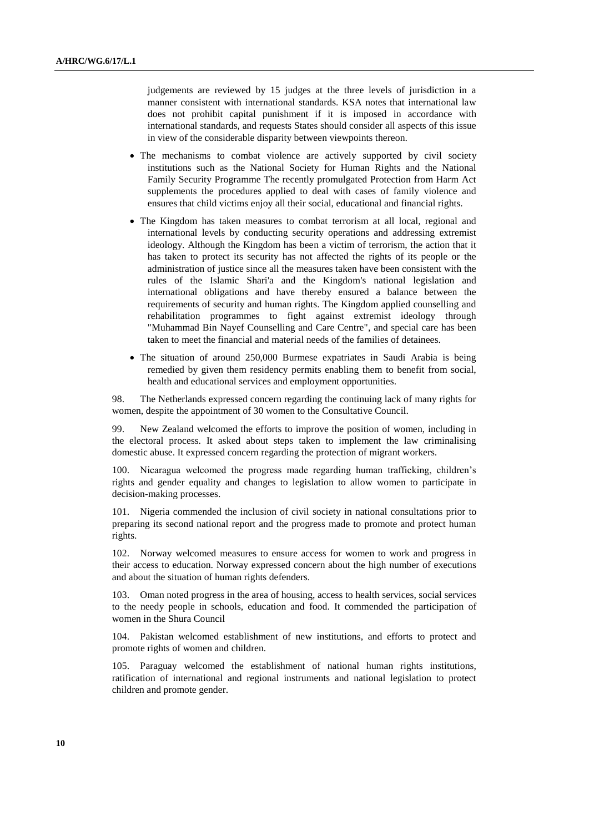judgements are reviewed by 15 judges at the three levels of jurisdiction in a manner consistent with international standards. KSA notes that international law does not prohibit capital punishment if it is imposed in accordance with international standards, and requests States should consider all aspects of this issue in view of the considerable disparity between viewpoints thereon.

- The mechanisms to combat violence are actively supported by civil society institutions such as the National Society for Human Rights and the National Family Security Programme The recently promulgated Protection from Harm Act supplements the procedures applied to deal with cases of family violence and ensures that child victims enjoy all their social, educational and financial rights.
- The Kingdom has taken measures to combat terrorism at all local, regional and international levels by conducting security operations and addressing extremist ideology. Although the Kingdom has been a victim of terrorism, the action that it has taken to protect its security has not affected the rights of its people or the administration of justice since all the measures taken have been consistent with the rules of the Islamic Shari'a and the Kingdom's national legislation and international obligations and have thereby ensured a balance between the requirements of security and human rights. The Kingdom applied counselling and rehabilitation programmes to fight against extremist ideology through "Muhammad Bin Nayef Counselling and Care Centre", and special care has been taken to meet the financial and material needs of the families of detainees.
- The situation of around 250,000 Burmese expatriates in Saudi Arabia is being remedied by given them residency permits enabling them to benefit from social, health and educational services and employment opportunities.

98. The Netherlands expressed concern regarding the continuing lack of many rights for women, despite the appointment of 30 women to the Consultative Council.

99. New Zealand welcomed the efforts to improve the position of women, including in the electoral process. It asked about steps taken to implement the law criminalising domestic abuse. It expressed concern regarding the protection of migrant workers.

100. Nicaragua welcomed the progress made regarding human trafficking, children's rights and gender equality and changes to legislation to allow women to participate in decision-making processes.

101. Nigeria commended the inclusion of civil society in national consultations prior to preparing its second national report and the progress made to promote and protect human rights.

102. Norway welcomed measures to ensure access for women to work and progress in their access to education. Norway expressed concern about the high number of executions and about the situation of human rights defenders.

103. Oman noted progress in the area of housing, access to health services, social services to the needy people in schools, education and food. It commended the participation of women in the Shura Council

104. Pakistan welcomed establishment of new institutions, and efforts to protect and promote rights of women and children.

105. Paraguay welcomed the establishment of national human rights institutions, ratification of international and regional instruments and national legislation to protect children and promote gender.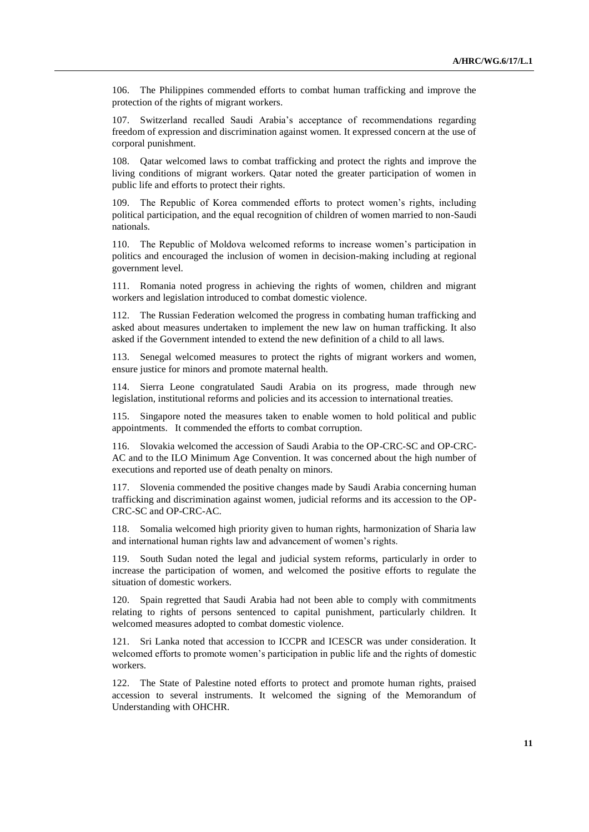106. The Philippines commended efforts to combat human trafficking and improve the protection of the rights of migrant workers.

107. Switzerland recalled Saudi Arabia's acceptance of recommendations regarding freedom of expression and discrimination against women. It expressed concern at the use of corporal punishment.

108. Qatar welcomed laws to combat trafficking and protect the rights and improve the living conditions of migrant workers. Qatar noted the greater participation of women in public life and efforts to protect their rights.

109. The Republic of Korea commended efforts to protect women's rights, including political participation, and the equal recognition of children of women married to non-Saudi nationals.

110. The Republic of Moldova welcomed reforms to increase women's participation in politics and encouraged the inclusion of women in decision-making including at regional government level.

111. Romania noted progress in achieving the rights of women, children and migrant workers and legislation introduced to combat domestic violence.

112. The Russian Federation welcomed the progress in combating human trafficking and asked about measures undertaken to implement the new law on human trafficking. It also asked if the Government intended to extend the new definition of a child to all laws.

113. Senegal welcomed measures to protect the rights of migrant workers and women, ensure justice for minors and promote maternal health.

114. Sierra Leone congratulated Saudi Arabia on its progress, made through new legislation, institutional reforms and policies and its accession to international treaties.

115. Singapore noted the measures taken to enable women to hold political and public appointments. It commended the efforts to combat corruption.

116. Slovakia welcomed the accession of Saudi Arabia to the OP-CRC-SC and OP-CRC-AC and to the ILO Minimum Age Convention. It was concerned about the high number of executions and reported use of death penalty on minors.

117. Slovenia commended the positive changes made by Saudi Arabia concerning human trafficking and discrimination against women, judicial reforms and its accession to the OP-CRC-SC and OP-CRC-AC.

Somalia welcomed high priority given to human rights, harmonization of Sharia law and international human rights law and advancement of women's rights.

119. South Sudan noted the legal and judicial system reforms, particularly in order to increase the participation of women, and welcomed the positive efforts to regulate the situation of domestic workers.

120. Spain regretted that Saudi Arabia had not been able to comply with commitments relating to rights of persons sentenced to capital punishment, particularly children. It welcomed measures adopted to combat domestic violence.

121. Sri Lanka noted that accession to ICCPR and ICESCR was under consideration. It welcomed efforts to promote women's participation in public life and the rights of domestic workers.

122. The State of Palestine noted efforts to protect and promote human rights, praised accession to several instruments. It welcomed the signing of the Memorandum of Understanding with OHCHR.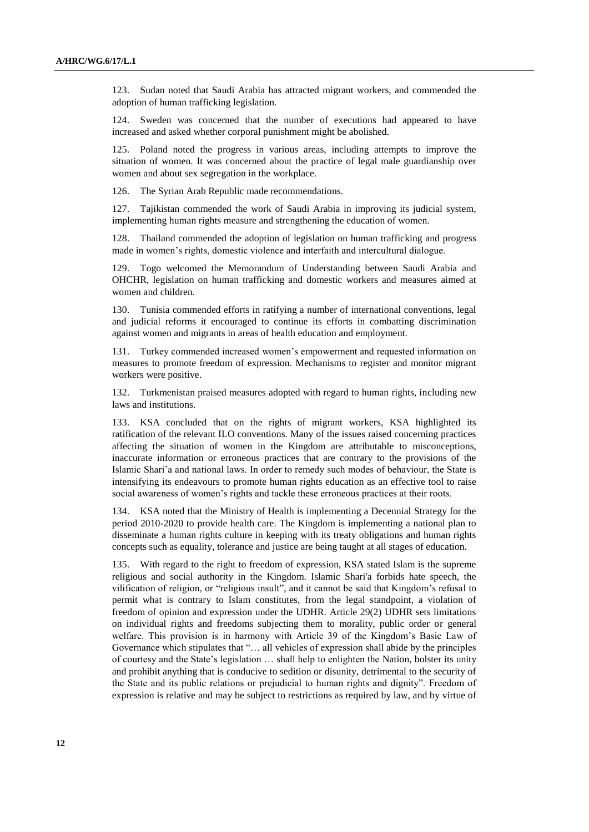123. Sudan noted that Saudi Arabia has attracted migrant workers, and commended the adoption of human trafficking legislation.

124. Sweden was concerned that the number of executions had appeared to have increased and asked whether corporal punishment might be abolished.

125. Poland noted the progress in various areas, including attempts to improve the situation of women. It was concerned about the practice of legal male guardianship over women and about sex segregation in the workplace.

126. The Syrian Arab Republic made recommendations.

127. Tajikistan commended the work of Saudi Arabia in improving its judicial system, implementing human rights measure and strengthening the education of women.

128. Thailand commended the adoption of legislation on human trafficking and progress made in women's rights, domestic violence and interfaith and intercultural dialogue.

129. Togo welcomed the Memorandum of Understanding between Saudi Arabia and OHCHR, legislation on human trafficking and domestic workers and measures aimed at women and children.

130. Tunisia commended efforts in ratifying a number of international conventions, legal and judicial reforms it encouraged to continue its efforts in combatting discrimination against women and migrants in areas of health education and employment.

131. Turkey commended increased women's empowerment and requested information on measures to promote freedom of expression. Mechanisms to register and monitor migrant workers were positive.

132. Turkmenistan praised measures adopted with regard to human rights, including new laws and institutions.

133. KSA concluded that on the rights of migrant workers, KSA highlighted its ratification of the relevant ILO conventions. Many of the issues raised concerning practices affecting the situation of women in the Kingdom are attributable to misconceptions, inaccurate information or erroneous practices that are contrary to the provisions of the Islamic Shari'a and national laws. In order to remedy such modes of behaviour, the State is intensifying its endeavours to promote human rights education as an effective tool to raise social awareness of women's rights and tackle these erroneous practices at their roots.

134. KSA noted that the Ministry of Health is implementing a Decennial Strategy for the period 2010-2020 to provide health care. The Kingdom is implementing a national plan to disseminate a human rights culture in keeping with its treaty obligations and human rights concepts such as equality, tolerance and justice are being taught at all stages of education.

135. With regard to the right to freedom of expression, KSA stated Islam is the supreme religious and social authority in the Kingdom. Islamic Shari'a forbids hate speech, the vilification of religion, or "religious insult", and it cannot be said that Kingdom's refusal to permit what is contrary to Islam constitutes, from the legal standpoint, a violation of freedom of opinion and expression under the UDHR. Article 29(2) UDHR sets limitations on individual rights and freedoms subjecting them to morality, public order or general welfare. This provision is in harmony with Article 39 of the Kingdom's Basic Law of Governance which stipulates that "… all vehicles of expression shall abide by the principles of courtesy and the State's legislation … shall help to enlighten the Nation, bolster its unity and prohibit anything that is conducive to sedition or disunity, detrimental to the security of the State and its public relations or prejudicial to human rights and dignity". Freedom of expression is relative and may be subject to restrictions as required by law, and by virtue of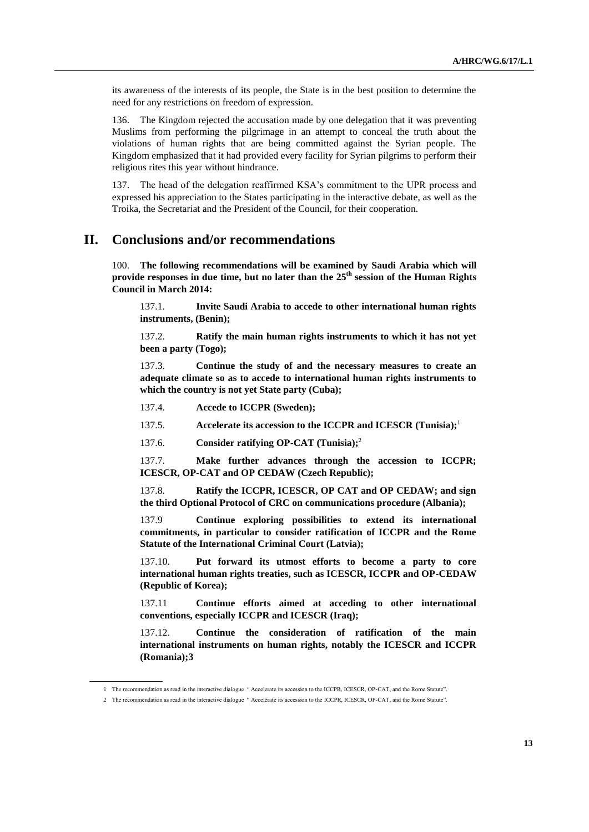its awareness of the interests of its people, the State is in the best position to determine the need for any restrictions on freedom of expression.

136. The Kingdom rejected the accusation made by one delegation that it was preventing Muslims from performing the pilgrimage in an attempt to conceal the truth about the violations of human rights that are being committed against the Syrian people. The Kingdom emphasized that it had provided every facility for Syrian pilgrims to perform their religious rites this year without hindrance.

137. The head of the delegation reaffirmed KSA's commitment to the UPR process and expressed his appreciation to the States participating in the interactive debate, as well as the Troika, the Secretariat and the President of the Council, for their cooperation.

## **II. Conclusions and/or recommendations**

100. **The following recommendations will be examined by Saudi Arabia which will provide responses in due time, but no later than the 25th session of the Human Rights Council in March 2014:**

137.1. **Invite Saudi Arabia to accede to other international human rights instruments, (Benin);**

137.2. **Ratify the main human rights instruments to which it has not yet been a party (Togo);**

137.3. **Continue the study of and the necessary measures to create an adequate climate so as to accede to international human rights instruments to which the country is not yet State party (Cuba);**

137.4. **Accede to ICCPR (Sweden);**

137.5. **Accelerate its accession to the ICCPR and ICESCR (Tunisia);**<sup>1</sup>

137.6. **Consider ratifying OP-CAT (Tunisia);**<sup>2</sup>

137.7. **Make further advances through the accession to ICCPR; ICESCR, OP-CAT and OP CEDAW (Czech Republic);**

137.8. **Ratify the ICCPR, ICESCR, OP CAT and OP CEDAW; and sign the third Optional Protocol of CRC on communications procedure (Albania);**

137.9 **Continue exploring possibilities to extend its international commitments, in particular to consider ratification of ICCPR and the Rome Statute of the International Criminal Court (Latvia);**

137.10. **Put forward its utmost efforts to become a party to core international human rights treaties, such as ICESCR, ICCPR and OP-CEDAW (Republic of Korea);**

137.11 **Continue efforts aimed at acceding to other international conventions, especially ICCPR and ICESCR (Iraq);**

137.12. **Continue the consideration of ratification of the main international instruments on human rights, notably the ICESCR and ICCPR (Romania);3**

<sup>1</sup> The recommendation as read in the interactive dialogue " Accelerate its accession to the ICCPR, ICESCR, OP-CAT, and the Rome Statute".

<sup>2</sup> The recommendation as read in the interactive dialogue " Accelerate its accession to the ICCPR, ICESCR, OP-CAT, and the Rome Statute".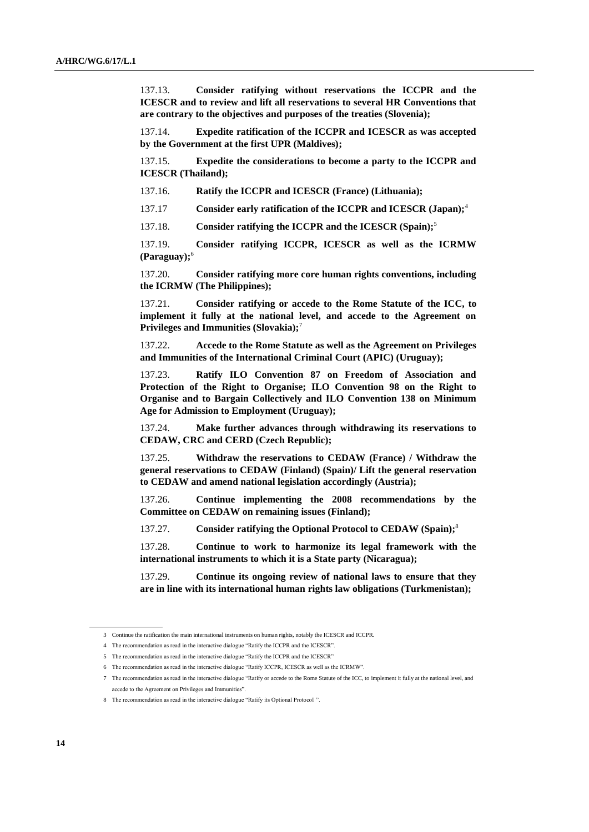137.13. **Consider ratifying without reservations the ICCPR and the ICESCR and to review and lift all reservations to several HR Conventions that are contrary to the objectives and purposes of the treaties (Slovenia);**

137.14. **Expedite ratification of the ICCPR and ICESCR as was accepted by the Government at the first UPR (Maldives);**

137.15. **Expedite the considerations to become a party to the ICCPR and ICESCR (Thailand);**

137.16. **Ratify the ICCPR and ICESCR (France) (Lithuania);**

137.17 **Consider early ratification of the ICCPR and ICESCR (Japan);**<sup>4</sup>

137.18. **Consider ratifying the ICCPR and the ICESCR (Spain);**<sup>5</sup>

137.19. **Consider ratifying ICCPR, ICESCR as well as the ICRMW (Paraguay);**<sup>6</sup>

137.20. **Consider ratifying more core human rights conventions, including the ICRMW (The Philippines);**

137.21. **Consider ratifying or accede to the Rome Statute of the ICC, to implement it fully at the national level, and accede to the Agreement on Privileges and Immunities (Slovakia);**<sup>7</sup>

137.22. **Accede to the Rome Statute as well as the Agreement on Privileges and Immunities of the International Criminal Court (APIC) (Uruguay);**

137.23. **Ratify ILO Convention 87 on Freedom of Association and Protection of the Right to Organise; ILO Convention 98 on the Right to Organise and to Bargain Collectively and ILO Convention 138 on Minimum Age for Admission to Employment (Uruguay);**

137.24. **Make further advances through withdrawing its reservations to CEDAW, CRC and CERD (Czech Republic);**

137.25. **Withdraw the reservations to CEDAW (France) / Withdraw the general reservations to CEDAW (Finland) (Spain)/ Lift the general reservation to CEDAW and amend national legislation accordingly (Austria);**

137.26. **Continue implementing the 2008 recommendations by the Committee on CEDAW on remaining issues (Finland);**

137.27. **Consider ratifying the Optional Protocol to CEDAW (Spain);**<sup>8</sup>

137.28. **Continue to work to harmonize its legal framework with the international instruments to which it is a State party (Nicaragua);**

137.29. **Continue its ongoing review of national laws to ensure that they are in line with its international human rights law obligations (Turkmenistan);**

<sup>3</sup> Continue the ratification the main international instruments on human rights, notably the ICESCR and ICCPR.

<sup>4</sup> The recommendation as read in the interactive dialogue "Ratify the ICCPR and the ICESCR".

<sup>5</sup> The recommendation as read in the interactive dialogue "Ratify the ICCPR and the ICESCR"

<sup>6</sup> The recommendation as read in the interactive dialogue "Ratify ICCPR, ICESCR as well as the ICRMW".

<sup>7</sup> The recommendation as read in the interactive dialogue "Ratify or accede to the Rome Statute of the ICC, to implement it fully at the national level, and accede to the Agreement on Privileges and Immunities".

<sup>8</sup> The recommendation as read in the interactive dialogue "Ratify its Optional Protocol ".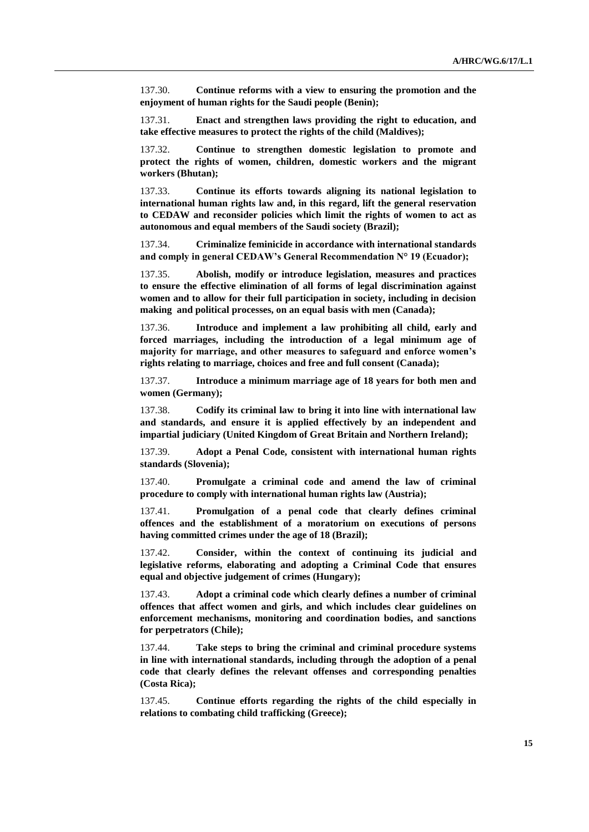137.30. **Continue reforms with a view to ensuring the promotion and the enjoyment of human rights for the Saudi people (Benin);**

137.31. **Enact and strengthen laws providing the right to education, and take effective measures to protect the rights of the child (Maldives);**

137.32. **Continue to strengthen domestic legislation to promote and protect the rights of women, children, domestic workers and the migrant workers (Bhutan);**

137.33. **Continue its efforts towards aligning its national legislation to international human rights law and, in this regard, lift the general reservation to CEDAW and reconsider policies which limit the rights of women to act as autonomous and equal members of the Saudi society (Brazil);**

137.34. **Criminalize feminicide in accordance with international standards and comply in general CEDAW's General Recommendation N° 19 (Ecuador);**

137.35. **Abolish, modify or introduce legislation, measures and practices to ensure the effective elimination of all forms of legal discrimination against women and to allow for their full participation in society, including in decision making and political processes, on an equal basis with men (Canada);**

137.36. **Introduce and implement a law prohibiting all child, early and forced marriages, including the introduction of a legal minimum age of majority for marriage, and other measures to safeguard and enforce women's rights relating to marriage, choices and free and full consent (Canada);**

137.37. **Introduce a minimum marriage age of 18 years for both men and women (Germany);**

137.38. **Codify its criminal law to bring it into line with international law and standards, and ensure it is applied effectively by an independent and impartial judiciary (United Kingdom of Great Britain and Northern Ireland);**

137.39. **Adopt a Penal Code, consistent with international human rights standards (Slovenia);**

137.40. **Promulgate a criminal code and amend the law of criminal procedure to comply with international human rights law (Austria);**

137.41. **Promulgation of a penal code that clearly defines criminal offences and the establishment of a moratorium on executions of persons having committed crimes under the age of 18 (Brazil);**

137.42. **Consider, within the context of continuing its judicial and legislative reforms, elaborating and adopting a Criminal Code that ensures equal and objective judgement of crimes (Hungary);**

137.43. **Adopt a criminal code which clearly defines a number of criminal offences that affect women and girls, and which includes clear guidelines on enforcement mechanisms, monitoring and coordination bodies, and sanctions for perpetrators (Chile);**

137.44. **Take steps to bring the criminal and criminal procedure systems in line with international standards, including through the adoption of a penal code that clearly defines the relevant offenses and corresponding penalties (Costa Rica);**

137.45. **Continue efforts regarding the rights of the child especially in relations to combating child trafficking (Greece);**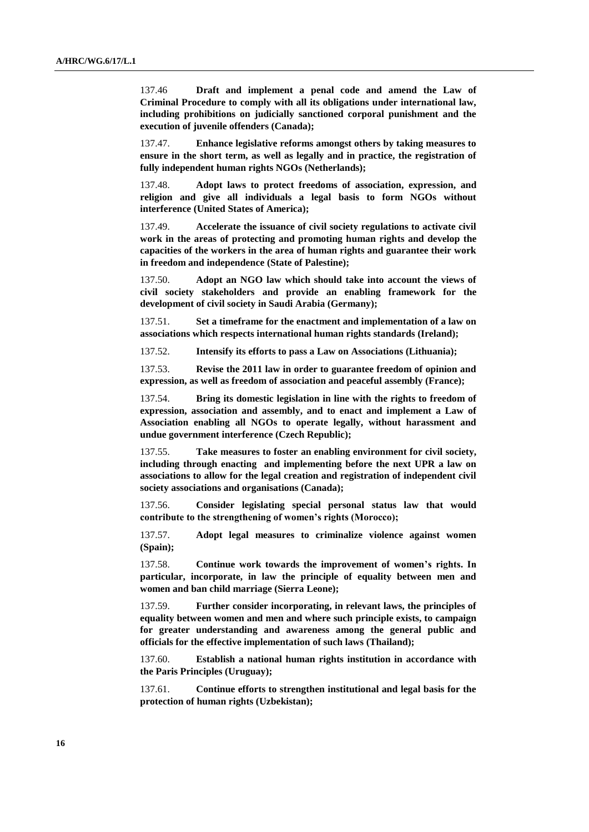137.46 **Draft and implement a penal code and amend the Law of Criminal Procedure to comply with all its obligations under international law, including prohibitions on judicially sanctioned corporal punishment and the execution of juvenile offenders (Canada);**

137.47. **Enhance legislative reforms amongst others by taking measures to ensure in the short term, as well as legally and in practice, the registration of fully independent human rights NGOs (Netherlands);**

137.48. **Adopt laws to protect freedoms of association, expression, and religion and give all individuals a legal basis to form NGOs without interference (United States of America);**

137.49. **Accelerate the issuance of civil society regulations to activate civil work in the areas of protecting and promoting human rights and develop the capacities of the workers in the area of human rights and guarantee their work in freedom and independence (State of Palestine);**

137.50. **Adopt an NGO law which should take into account the views of civil society stakeholders and provide an enabling framework for the development of civil society in Saudi Arabia (Germany);**

137.51. **Set a timeframe for the enactment and implementation of a law on associations which respects international human rights standards (Ireland);**

137.52. **Intensify its efforts to pass a Law on Associations (Lithuania);**

137.53. **Revise the 2011 law in order to guarantee freedom of opinion and expression, as well as freedom of association and peaceful assembly (France);**

137.54. **Bring its domestic legislation in line with the rights to freedom of expression, association and assembly, and to enact and implement a Law of Association enabling all NGOs to operate legally, without harassment and undue government interference (Czech Republic);**

137.55. **Take measures to foster an enabling environment for civil society, including through enacting and implementing before the next UPR a law on associations to allow for the legal creation and registration of independent civil society associations and organisations (Canada);**

137.56. **Consider legislating special personal status law that would contribute to the strengthening of women's rights (Morocco);**

137.57. **Adopt legal measures to criminalize violence against women (Spain);**

137.58. **Continue work towards the improvement of women's rights. In particular, incorporate, in law the principle of equality between men and women and ban child marriage (Sierra Leone);**

137.59. **Further consider incorporating, in relevant laws, the principles of equality between women and men and where such principle exists, to campaign for greater understanding and awareness among the general public and officials for the effective implementation of such laws (Thailand);**

137.60. **Establish a national human rights institution in accordance with the Paris Principles (Uruguay);**

137.61. **Continue efforts to strengthen institutional and legal basis for the protection of human rights (Uzbekistan);**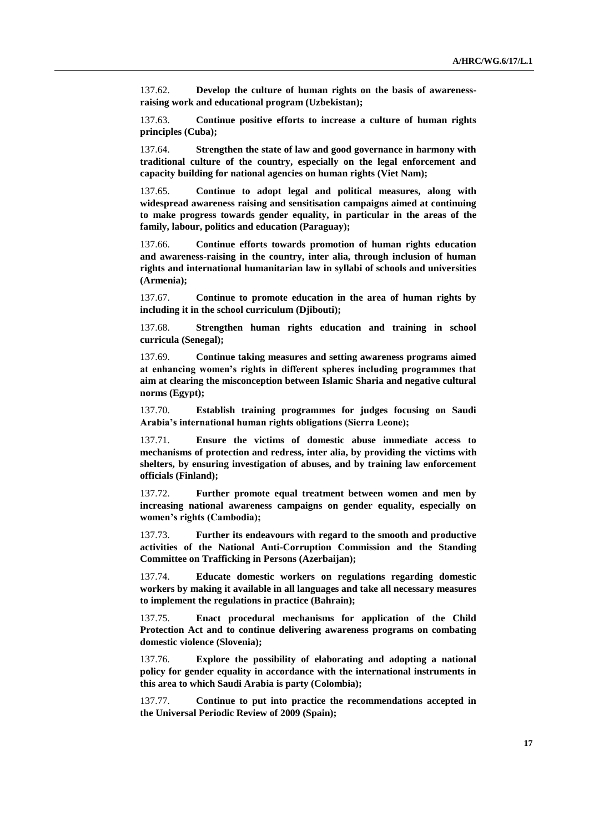137.62. **Develop the culture of human rights on the basis of awarenessraising work and educational program (Uzbekistan);**

137.63. **Continue positive efforts to increase a culture of human rights principles (Cuba);**

137.64. **Strengthen the state of law and good governance in harmony with traditional culture of the country, especially on the legal enforcement and capacity building for national agencies on human rights (Viet Nam);**

137.65. **Continue to adopt legal and political measures, along with widespread awareness raising and sensitisation campaigns aimed at continuing to make progress towards gender equality, in particular in the areas of the family, labour, politics and education (Paraguay);**

137.66. **Continue efforts towards promotion of human rights education and awareness-raising in the country, inter alia, through inclusion of human rights and international humanitarian law in syllabi of schools and universities (Armenia);**

137.67. **Continue to promote education in the area of human rights by including it in the school curriculum (Djibouti);**

137.68. **Strengthen human rights education and training in school curricula (Senegal);**

137.69. **Continue taking measures and setting awareness programs aimed at enhancing women's rights in different spheres including programmes that aim at clearing the misconception between Islamic Sharia and negative cultural norms (Egypt);**

137.70. **Establish training programmes for judges focusing on Saudi Arabia's international human rights obligations (Sierra Leone);**

137.71. **Ensure the victims of domestic abuse immediate access to mechanisms of protection and redress, inter alia, by providing the victims with shelters, by ensuring investigation of abuses, and by training law enforcement officials (Finland);**

137.72. **Further promote equal treatment between women and men by increasing national awareness campaigns on gender equality, especially on women's rights (Cambodia);**

137.73. **Further its endeavours with regard to the smooth and productive activities of the National Anti-Corruption Commission and the Standing Committee on Trafficking in Persons (Azerbaijan);**

137.74. **Educate domestic workers on regulations regarding domestic workers by making it available in all languages and take all necessary measures to implement the regulations in practice (Bahrain);**

137.75. **Enact procedural mechanisms for application of the Child Protection Act and to continue delivering awareness programs on combating domestic violence (Slovenia);**

137.76. **Explore the possibility of elaborating and adopting a national policy for gender equality in accordance with the international instruments in this area to which Saudi Arabia is party (Colombia);**

137.77. **Continue to put into practice the recommendations accepted in the Universal Periodic Review of 2009 (Spain);**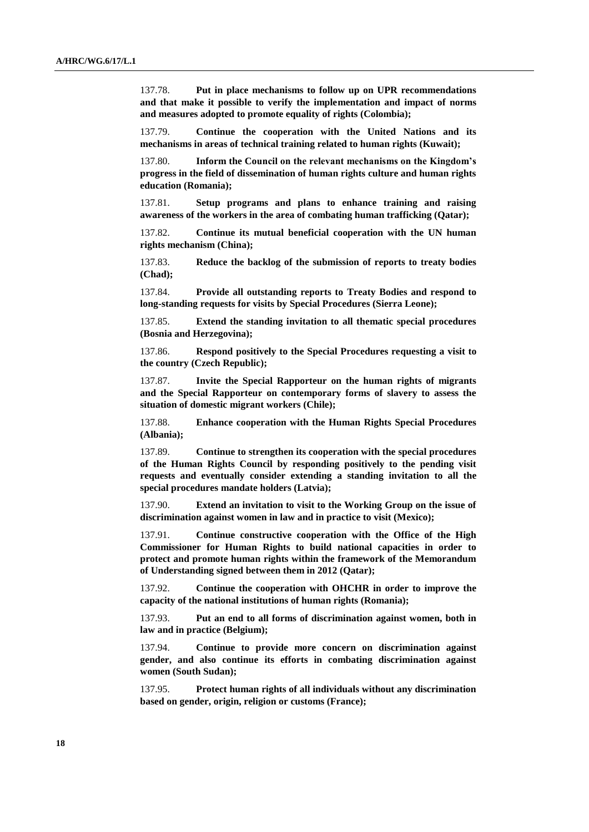137.78. **Put in place mechanisms to follow up on UPR recommendations and that make it possible to verify the implementation and impact of norms and measures adopted to promote equality of rights (Colombia);**

137.79. **Continue the cooperation with the United Nations and its mechanisms in areas of technical training related to human rights (Kuwait);**

137.80. **Inform the Council on the relevant mechanisms on the Kingdom's progress in the field of dissemination of human rights culture and human rights education (Romania);**

137.81. **Setup programs and plans to enhance training and raising awareness of the workers in the area of combating human trafficking (Qatar);**

137.82. **Continue its mutual beneficial cooperation with the UN human rights mechanism (China);**

137.83. **Reduce the backlog of the submission of reports to treaty bodies (Chad);**

137.84. **Provide all outstanding reports to Treaty Bodies and respond to long-standing requests for visits by Special Procedures (Sierra Leone);**

137.85. **Extend the standing invitation to all thematic special procedures (Bosnia and Herzegovina);**

137.86. **Respond positively to the Special Procedures requesting a visit to the country (Czech Republic);**

137.87. **Invite the Special Rapporteur on the human rights of migrants and the Special Rapporteur on contemporary forms of slavery to assess the situation of domestic migrant workers (Chile);**

137.88. **Enhance cooperation with the Human Rights Special Procedures (Albania);**

137.89. **Continue to strengthen its cooperation with the special procedures of the Human Rights Council by responding positively to the pending visit requests and eventually consider extending a standing invitation to all the special procedures mandate holders (Latvia);**

137.90. **Extend an invitation to visit to the Working Group on the issue of discrimination against women in law and in practice to visit (Mexico);**

137.91. **Continue constructive cooperation with the Office of the High Commissioner for Human Rights to build national capacities in order to protect and promote human rights within the framework of the Memorandum of Understanding signed between them in 2012 (Qatar);**

137.92. **Continue the cooperation with OHCHR in order to improve the capacity of the national institutions of human rights (Romania);**

137.93. **Put an end to all forms of discrimination against women, both in law and in practice (Belgium);**

137.94. **Continue to provide more concern on discrimination against gender, and also continue its efforts in combating discrimination against women (South Sudan);**

137.95. **Protect human rights of all individuals without any discrimination based on gender, origin, religion or customs (France);**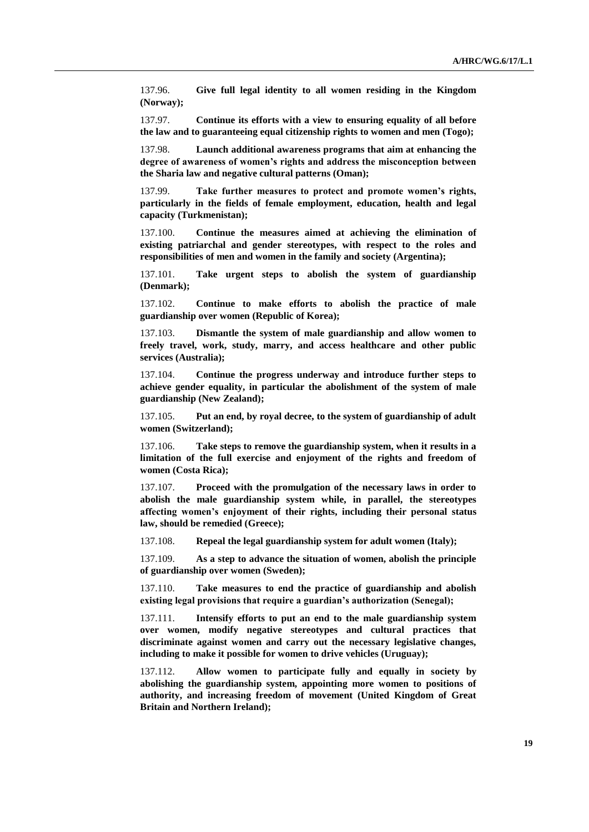137.96. **Give full legal identity to all women residing in the Kingdom (Norway);**

137.97. **Continue its efforts with a view to ensuring equality of all before the law and to guaranteeing equal citizenship rights to women and men (Togo);**

137.98. **Launch additional awareness programs that aim at enhancing the degree of awareness of women's rights and address the misconception between the Sharia law and negative cultural patterns (Oman);**

137.99. **Take further measures to protect and promote women's rights, particularly in the fields of female employment, education, health and legal capacity (Turkmenistan);**

137.100. **Continue the measures aimed at achieving the elimination of existing patriarchal and gender stereotypes, with respect to the roles and responsibilities of men and women in the family and society (Argentina);**

137.101. **Take urgent steps to abolish the system of guardianship (Denmark);**

137.102. **Continue to make efforts to abolish the practice of male guardianship over women (Republic of Korea);**

137.103. **Dismantle the system of male guardianship and allow women to freely travel, work, study, marry, and access healthcare and other public services (Australia);**

137.104. **Continue the progress underway and introduce further steps to achieve gender equality, in particular the abolishment of the system of male guardianship (New Zealand);**

137.105. **Put an end, by royal decree, to the system of guardianship of adult women (Switzerland);**

137.106. **Take steps to remove the guardianship system, when it results in a limitation of the full exercise and enjoyment of the rights and freedom of women (Costa Rica);**

137.107. **Proceed with the promulgation of the necessary laws in order to abolish the male guardianship system while, in parallel, the stereotypes affecting women's enjoyment of their rights, including their personal status law, should be remedied (Greece);**

137.108. **Repeal the legal guardianship system for adult women (Italy);**

137.109. **As a step to advance the situation of women, abolish the principle of guardianship over women (Sweden);**

137.110. **Take measures to end the practice of guardianship and abolish existing legal provisions that require a guardian's authorization (Senegal);**

137.111. **Intensify efforts to put an end to the male guardianship system over women, modify negative stereotypes and cultural practices that discriminate against women and carry out the necessary legislative changes, including to make it possible for women to drive vehicles (Uruguay);**

137.112. **Allow women to participate fully and equally in society by abolishing the guardianship system, appointing more women to positions of authority, and increasing freedom of movement (United Kingdom of Great Britain and Northern Ireland);**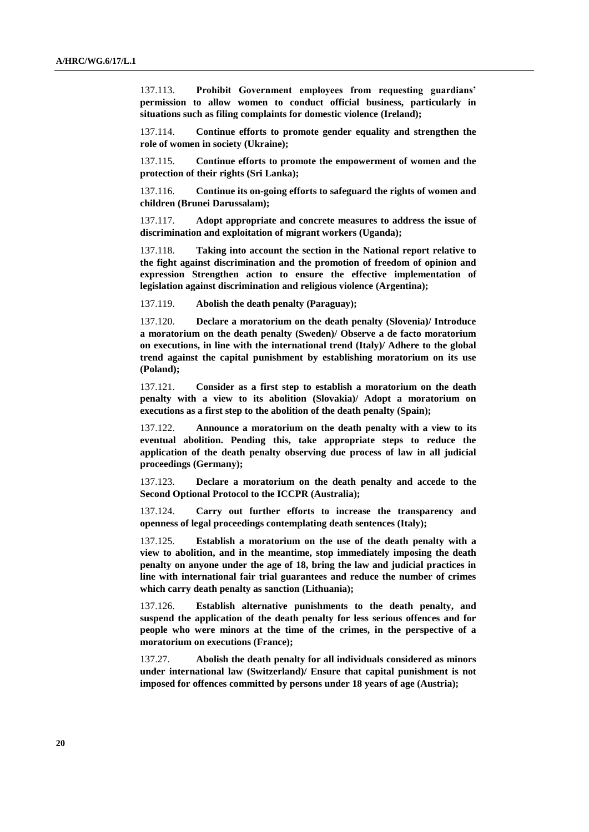137.113. **Prohibit Government employees from requesting guardians' permission to allow women to conduct official business, particularly in situations such as filing complaints for domestic violence (Ireland);**

137.114. **Continue efforts to promote gender equality and strengthen the role of women in society (Ukraine);**

137.115. **Continue efforts to promote the empowerment of women and the protection of their rights (Sri Lanka);**

137.116. **Continue its on-going efforts to safeguard the rights of women and children (Brunei Darussalam);**

137.117. **Adopt appropriate and concrete measures to address the issue of discrimination and exploitation of migrant workers (Uganda);**

137.118. **Taking into account the section in the National report relative to the fight against discrimination and the promotion of freedom of opinion and expression Strengthen action to ensure the effective implementation of legislation against discrimination and religious violence (Argentina);**

137.119. **Abolish the death penalty (Paraguay);**

137.120. **Declare a moratorium on the death penalty (Slovenia)/ Introduce a moratorium on the death penalty (Sweden)/ Observe a de facto moratorium on executions, in line with the international trend (Italy)/ Adhere to the global trend against the capital punishment by establishing moratorium on its use (Poland);**

137.121. **Consider as a first step to establish a moratorium on the death penalty with a view to its abolition (Slovakia)/ Adopt a moratorium on executions as a first step to the abolition of the death penalty (Spain);**

137.122. **Announce a moratorium on the death penalty with a view to its eventual abolition. Pending this, take appropriate steps to reduce the application of the death penalty observing due process of law in all judicial proceedings (Germany);**

137.123. **Declare a moratorium on the death penalty and accede to the Second Optional Protocol to the ICCPR (Australia);**

137.124. **Carry out further efforts to increase the transparency and openness of legal proceedings contemplating death sentences (Italy);**

137.125. **Establish a moratorium on the use of the death penalty with a view to abolition, and in the meantime, stop immediately imposing the death penalty on anyone under the age of 18, bring the law and judicial practices in line with international fair trial guarantees and reduce the number of crimes which carry death penalty as sanction (Lithuania);**

137.126. **Establish alternative punishments to the death penalty, and suspend the application of the death penalty for less serious offences and for people who were minors at the time of the crimes, in the perspective of a moratorium on executions (France);**

137.27. **Abolish the death penalty for all individuals considered as minors under international law (Switzerland)/ Ensure that capital punishment is not imposed for offences committed by persons under 18 years of age (Austria);**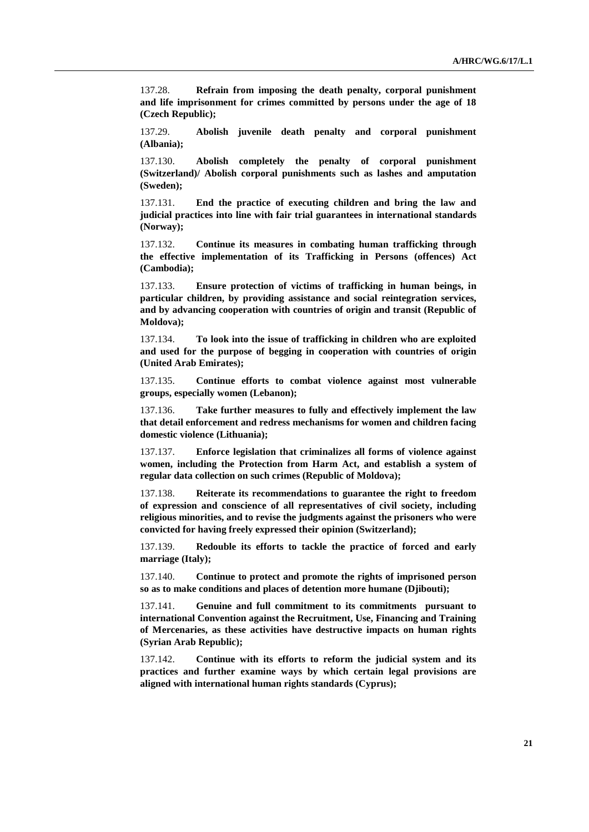137.28. **Refrain from imposing the death penalty, corporal punishment and life imprisonment for crimes committed by persons under the age of 18 (Czech Republic);**

137.29. **Abolish juvenile death penalty and corporal punishment (Albania);** 

137.130. **Abolish completely the penalty of corporal punishment (Switzerland)/ Abolish corporal punishments such as lashes and amputation (Sweden);**

137.131. **End the practice of executing children and bring the law and judicial practices into line with fair trial guarantees in international standards (Norway);**

137.132. **Continue its measures in combating human trafficking through the effective implementation of its Trafficking in Persons (offences) Act (Cambodia);**

137.133. **Ensure protection of victims of trafficking in human beings, in particular children, by providing assistance and social reintegration services, and by advancing cooperation with countries of origin and transit (Republic of Moldova);**

137.134. **To look into the issue of trafficking in children who are exploited and used for the purpose of begging in cooperation with countries of origin (United Arab Emirates);**

137.135. **Continue efforts to combat violence against most vulnerable groups, especially women (Lebanon);**

137.136. **Take further measures to fully and effectively implement the law that detail enforcement and redress mechanisms for women and children facing domestic violence (Lithuania);**

137.137. **Enforce legislation that criminalizes all forms of violence against women, including the Protection from Harm Act, and establish a system of regular data collection on such crimes (Republic of Moldova);**

137.138. **Reiterate its recommendations to guarantee the right to freedom of expression and conscience of all representatives of civil society, including religious minorities, and to revise the judgments against the prisoners who were convicted for having freely expressed their opinion (Switzerland);**

137.139. **Redouble its efforts to tackle the practice of forced and early marriage (Italy);**

137.140. **Continue to protect and promote the rights of imprisoned person so as to make conditions and places of detention more humane (Djibouti);**

137.141. **Genuine and full commitment to its commitments pursuant to international Convention against the Recruitment, Use, Financing and Training of Mercenaries, as these activities have destructive impacts on human rights (Syrian Arab Republic);**

137.142. **Continue with its efforts to reform the judicial system and its practices and further examine ways by which certain legal provisions are aligned with international human rights standards (Cyprus);**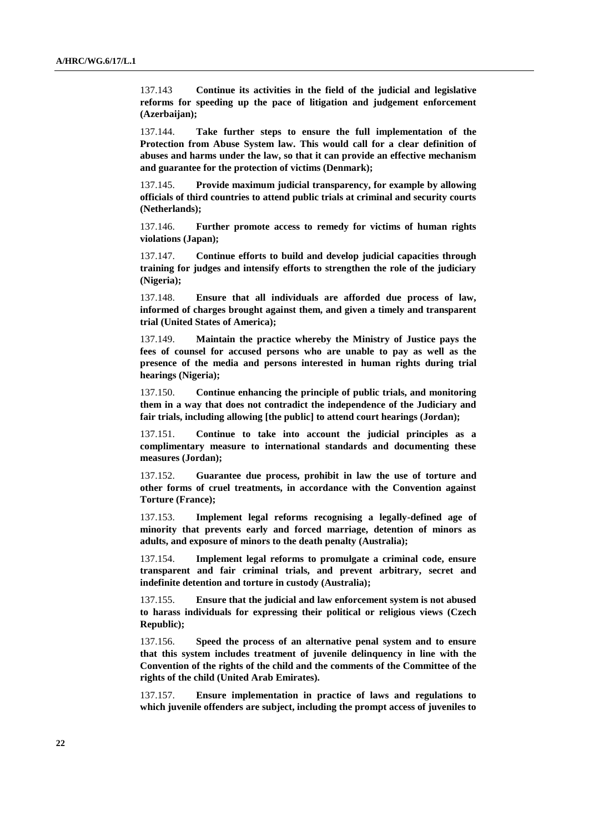137.143 **Continue its activities in the field of the judicial and legislative reforms for speeding up the pace of litigation and judgement enforcement (Azerbaijan);**

137.144. **Take further steps to ensure the full implementation of the Protection from Abuse System law. This would call for a clear definition of abuses and harms under the law, so that it can provide an effective mechanism and guarantee for the protection of victims (Denmark);**

137.145. **Provide maximum judicial transparency, for example by allowing officials of third countries to attend public trials at criminal and security courts (Netherlands);**

137.146. **Further promote access to remedy for victims of human rights violations (Japan);**

137.147. **Continue efforts to build and develop judicial capacities through training for judges and intensify efforts to strengthen the role of the judiciary (Nigeria);**

137.148. **Ensure that all individuals are afforded due process of law, informed of charges brought against them, and given a timely and transparent trial (United States of America);**

137.149. **Maintain the practice whereby the Ministry of Justice pays the fees of counsel for accused persons who are unable to pay as well as the presence of the media and persons interested in human rights during trial hearings (Nigeria);**

137.150. **Continue enhancing the principle of public trials, and monitoring them in a way that does not contradict the independence of the Judiciary and fair trials, including allowing [the public] to attend court hearings (Jordan);**

137.151. **Continue to take into account the judicial principles as a complimentary measure to international standards and documenting these measures (Jordan);**

137.152. **Guarantee due process, prohibit in law the use of torture and other forms of cruel treatments, in accordance with the Convention against Torture (France);**

137.153. **Implement legal reforms recognising a legally-defined age of minority that prevents early and forced marriage, detention of minors as adults, and exposure of minors to the death penalty (Australia);**

137.154. **Implement legal reforms to promulgate a criminal code, ensure transparent and fair criminal trials, and prevent arbitrary, secret and indefinite detention and torture in custody (Australia);**

137.155. **Ensure that the judicial and law enforcement system is not abused to harass individuals for expressing their political or religious views (Czech Republic);**

137.156. **Speed the process of an alternative penal system and to ensure that this system includes treatment of juvenile delinquency in line with the Convention of the rights of the child and the comments of the Committee of the rights of the child (United Arab Emirates).**

137.157. **Ensure implementation in practice of laws and regulations to which juvenile offenders are subject, including the prompt access of juveniles to**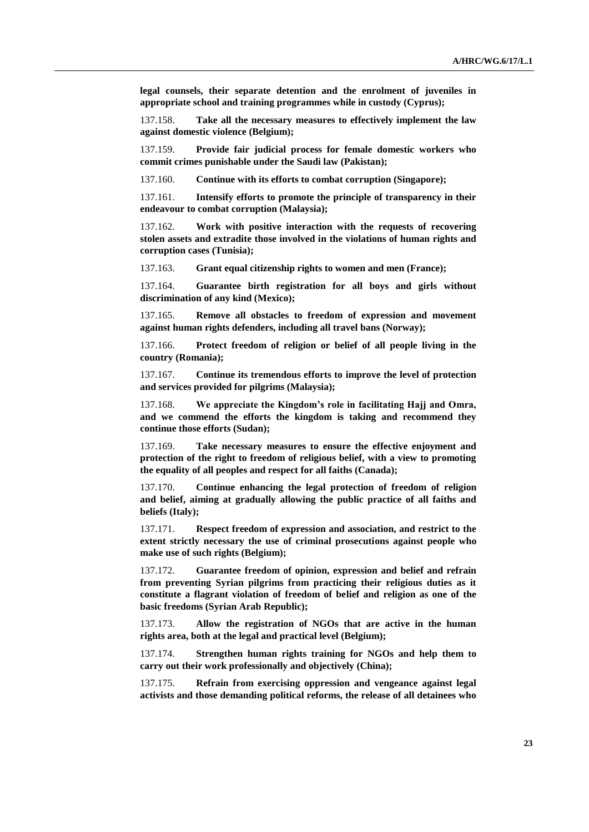**legal counsels, their separate detention and the enrolment of juveniles in appropriate school and training programmes while in custody (Cyprus);**

137.158. **Take all the necessary measures to effectively implement the law against domestic violence (Belgium);**

137.159. **Provide fair judicial process for female domestic workers who commit crimes punishable under the Saudi law (Pakistan);**

137.160. **Continue with its efforts to combat corruption (Singapore);**

137.161. **Intensify efforts to promote the principle of transparency in their endeavour to combat corruption (Malaysia);**

137.162. **Work with positive interaction with the requests of recovering stolen assets and extradite those involved in the violations of human rights and corruption cases (Tunisia);**

137.163. **Grant equal citizenship rights to women and men (France);**

137.164. **Guarantee birth registration for all boys and girls without discrimination of any kind (Mexico);**

137.165. **Remove all obstacles to freedom of expression and movement against human rights defenders, including all travel bans (Norway);**

137.166. **Protect freedom of religion or belief of all people living in the country (Romania);**

137.167. **Continue its tremendous efforts to improve the level of protection and services provided for pilgrims (Malaysia);**

137.168. **We appreciate the Kingdom's role in facilitating Hajj and Omra, and we commend the efforts the kingdom is taking and recommend they continue those efforts (Sudan);**

137.169. **Take necessary measures to ensure the effective enjoyment and protection of the right to freedom of religious belief, with a view to promoting the equality of all peoples and respect for all faiths (Canada);**

137.170. **Continue enhancing the legal protection of freedom of religion and belief, aiming at gradually allowing the public practice of all faiths and beliefs (Italy);**

137.171. **Respect freedom of expression and association, and restrict to the extent strictly necessary the use of criminal prosecutions against people who make use of such rights (Belgium);**

137.172. **Guarantee freedom of opinion, expression and belief and refrain from preventing Syrian pilgrims from practicing their religious duties as it constitute a flagrant violation of freedom of belief and religion as one of the basic freedoms (Syrian Arab Republic);**

137.173. **Allow the registration of NGOs that are active in the human rights area, both at the legal and practical level (Belgium);** 

137.174. **Strengthen human rights training for NGOs and help them to carry out their work professionally and objectively (China);**

137.175. **Refrain from exercising oppression and vengeance against legal activists and those demanding political reforms, the release of all detainees who**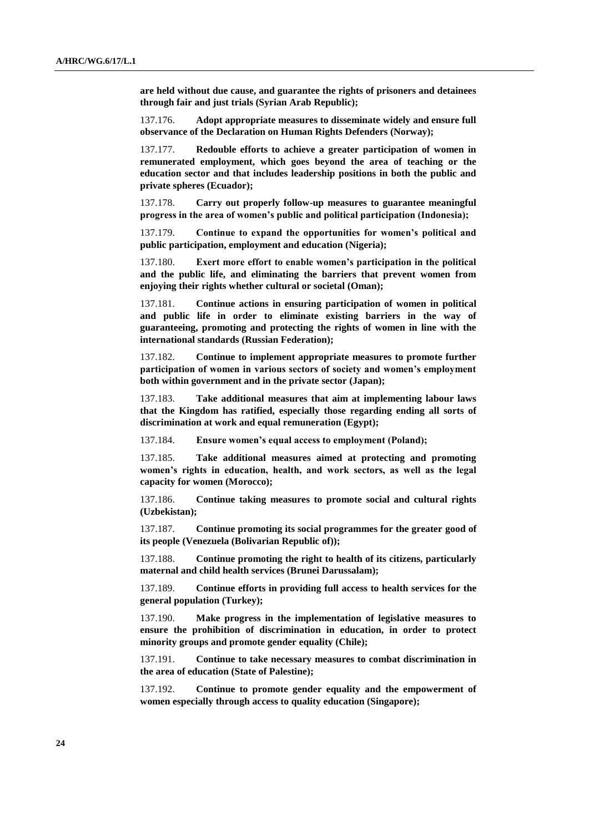**are held without due cause, and guarantee the rights of prisoners and detainees through fair and just trials (Syrian Arab Republic);**

137.176. **Adopt appropriate measures to disseminate widely and ensure full observance of the Declaration on Human Rights Defenders (Norway);**

137.177. **Redouble efforts to achieve a greater participation of women in remunerated employment, which goes beyond the area of teaching or the education sector and that includes leadership positions in both the public and private spheres (Ecuador);**

137.178. **Carry out properly follow-up measures to guarantee meaningful progress in the area of women's public and political participation (Indonesia);**

137.179. **Continue to expand the opportunities for women's political and public participation, employment and education (Nigeria);**

137.180. **Exert more effort to enable women's participation in the political and the public life, and eliminating the barriers that prevent women from enjoying their rights whether cultural or societal (Oman);**

137.181. **Continue actions in ensuring participation of women in political and public life in order to eliminate existing barriers in the way of guaranteeing, promoting and protecting the rights of women in line with the international standards (Russian Federation);**

137.182. **Continue to implement appropriate measures to promote further participation of women in various sectors of society and women's employment both within government and in the private sector (Japan);**

137.183. **Take additional measures that aim at implementing labour laws that the Kingdom has ratified, especially those regarding ending all sorts of discrimination at work and equal remuneration (Egypt);**

137.184. **Ensure women's equal access to employment (Poland);**

137.185. **Take additional measures aimed at protecting and promoting women's rights in education, health, and work sectors, as well as the legal capacity for women (Morocco);**

137.186. **Continue taking measures to promote social and cultural rights (Uzbekistan);**

137.187. **Continue promoting its social programmes for the greater good of its people (Venezuela (Bolivarian Republic of));**

137.188. **Continue promoting the right to health of its citizens, particularly maternal and child health services (Brunei Darussalam);**

137.189. **Continue efforts in providing full access to health services for the general population (Turkey);** 

137.190. **Make progress in the implementation of legislative measures to ensure the prohibition of discrimination in education, in order to protect minority groups and promote gender equality (Chile);** 

137.191. **Continue to take necessary measures to combat discrimination in the area of education (State of Palestine);**

137.192. **Continue to promote gender equality and the empowerment of women especially through access to quality education (Singapore);**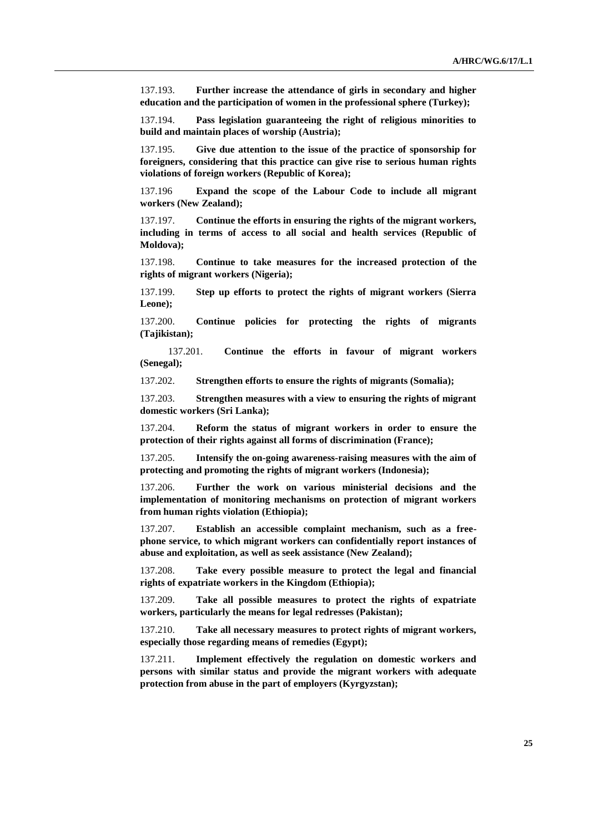137.193. **Further increase the attendance of girls in secondary and higher education and the participation of women in the professional sphere (Turkey);**

137.194. **Pass legislation guaranteeing the right of religious minorities to build and maintain places of worship (Austria);**

137.195. **Give due attention to the issue of the practice of sponsorship for foreigners, considering that this practice can give rise to serious human rights violations of foreign workers (Republic of Korea);**

137.196 **Expand the scope of the Labour Code to include all migrant workers (New Zealand);**

137.197. **Continue the efforts in ensuring the rights of the migrant workers, including in terms of access to all social and health services (Republic of Moldova);**

137.198. **Continue to take measures for the increased protection of the rights of migrant workers (Nigeria);**

137.199. **Step up efforts to protect the rights of migrant workers (Sierra Leone);**

137.200. **Continue policies for protecting the rights of migrants (Tajikistan);**

137.201. **Continue the efforts in favour of migrant workers (Senegal);**

137.202. **Strengthen efforts to ensure the rights of migrants (Somalia);**

137.203. **Strengthen measures with a view to ensuring the rights of migrant domestic workers (Sri Lanka);**

137.204. **Reform the status of migrant workers in order to ensure the protection of their rights against all forms of discrimination (France);**

137.205. **Intensify the on-going awareness-raising measures with the aim of protecting and promoting the rights of migrant workers (Indonesia);**

137.206. **Further the work on various ministerial decisions and the implementation of monitoring mechanisms on protection of migrant workers from human rights violation (Ethiopia);**

137.207. **Establish an accessible complaint mechanism, such as a freephone service, to which migrant workers can confidentially report instances of abuse and exploitation, as well as seek assistance (New Zealand);**

137.208. **Take every possible measure to protect the legal and financial rights of expatriate workers in the Kingdom (Ethiopia);**

137.209. **Take all possible measures to protect the rights of expatriate workers, particularly the means for legal redresses (Pakistan);**

137.210. **Take all necessary measures to protect rights of migrant workers, especially those regarding means of remedies (Egypt);**

137.211. **Implement effectively the regulation on domestic workers and persons with similar status and provide the migrant workers with adequate protection from abuse in the part of employers (Kyrgyzstan);**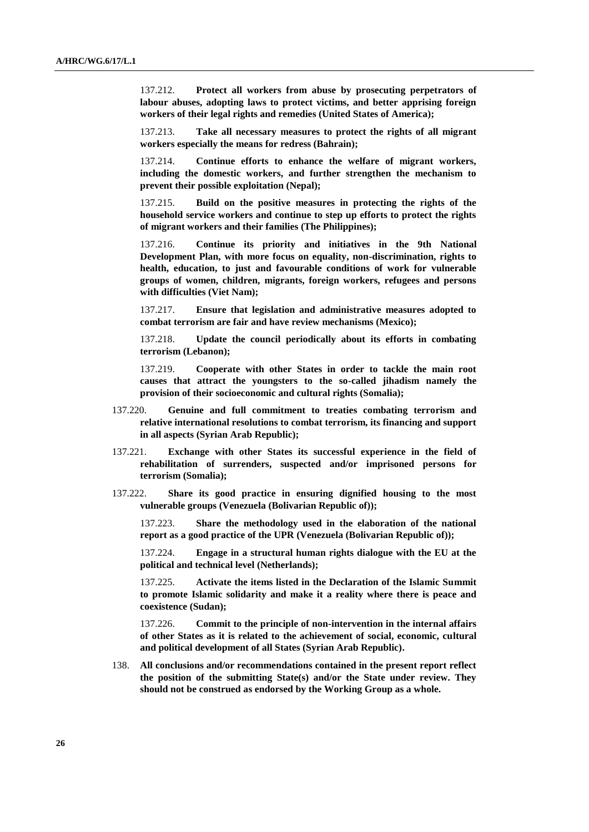137.212. **Protect all workers from abuse by prosecuting perpetrators of labour abuses, adopting laws to protect victims, and better apprising foreign workers of their legal rights and remedies (United States of America);**

137.213. **Take all necessary measures to protect the rights of all migrant workers especially the means for redress (Bahrain);**

137.214. **Continue efforts to enhance the welfare of migrant workers, including the domestic workers, and further strengthen the mechanism to prevent their possible exploitation (Nepal);**

137.215. **Build on the positive measures in protecting the rights of the household service workers and continue to step up efforts to protect the rights of migrant workers and their families (The Philippines);**

137.216. **Continue its priority and initiatives in the 9th National Development Plan, with more focus on equality, non-discrimination, rights to health, education, to just and favourable conditions of work for vulnerable groups of women, children, migrants, foreign workers, refugees and persons with difficulties (Viet Nam);**

137.217. **Ensure that legislation and administrative measures adopted to combat terrorism are fair and have review mechanisms (Mexico);**

137.218. **Update the council periodically about its efforts in combating terrorism (Lebanon);**

137.219. **Cooperate with other States in order to tackle the main root causes that attract the youngsters to the so-called jihadism namely the provision of their socioeconomic and cultural rights (Somalia);**

- 137.220. **Genuine and full commitment to treaties combating terrorism and relative international resolutions to combat terrorism, its financing and support in all aspects (Syrian Arab Republic);**
- 137.221. **Exchange with other States its successful experience in the field of rehabilitation of surrenders, suspected and/or imprisoned persons for terrorism (Somalia);**
- 137.222. **Share its good practice in ensuring dignified housing to the most vulnerable groups (Venezuela (Bolivarian Republic of));**

137.223. **Share the methodology used in the elaboration of the national report as a good practice of the UPR (Venezuela (Bolivarian Republic of));**

137.224. **Engage in a structural human rights dialogue with the EU at the political and technical level (Netherlands);**

137.225. **Activate the items listed in the Declaration of the Islamic Summit to promote Islamic solidarity and make it a reality where there is peace and coexistence (Sudan);**

137.226. **Commit to the principle of non-intervention in the internal affairs of other States as it is related to the achievement of social, economic, cultural and political development of all States (Syrian Arab Republic).**

138. **All conclusions and/or recommendations contained in the present report reflect the position of the submitting State(s) and/or the State under review. They should not be construed as endorsed by the Working Group as a whole.**